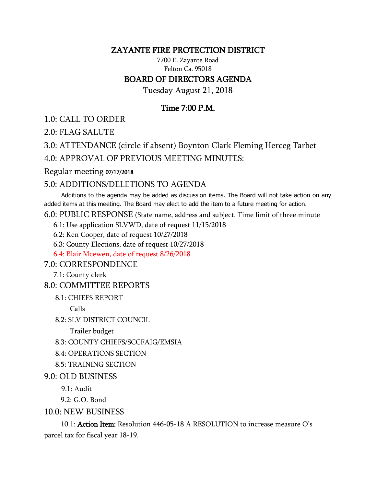### ZAYANTE FIRE PROTECTION DISTRICT

7700 E. Zayante Road Felton Ca. 95018

## BOARD OF DIRECTORS AGENDA

Tuesday August 21, 2018

# Time 7:00 P.M.

1.0: CALL TO ORDER

2.0: FLAG SALUTE

3.0: ATTENDANCE (circle if absent) Boynton Clark Fleming Herceg Tarbet

4.0: APPROVAL OF PREVIOUS MEETING MINUTES:

Regular meeting 07/17/2018

#### 5.0: ADDITIONS/DELETIONS TO AGENDA

 Additions to the agenda may be added as discussion items. The Board will not take action on any added items at this meeting. The Board may elect to add the item to a future meeting for action.

6.0: PUBLIC RESPONSE (State name, address and subject. Time limit of three minute

6.1: Use application SLVWD, date of request 11/15/2018

6.2: Ken Cooper, date of request 10/27/2018

6.3: County Elections, date of request 10/27/2018

6.4: Blair Mcewen, date of request 8/26/2018

7.0: CORRESPONDENCE

7.1: County clerk

#### 8.0: COMMITTEE REPORTS

8.1: CHIEFS REPORT

Calls

8.2: SLV DISTRICT COUNCIL

Trailer budget

8.3: COUNTY CHIEFS/SCCFAIG/EMSIA

8.4: OPERATIONS SECTION

- 8.5: TRAINING SECTION
- 9.0: OLD BUSINESS
	- 9.1: Audit
	- 9.2: G.O. Bond

10.0: NEW BUSINESS

 10.1: Action Item: Resolution 446-05-18 A RESOLUTION to increase measure O's parcel tax for fiscal year 18-19.